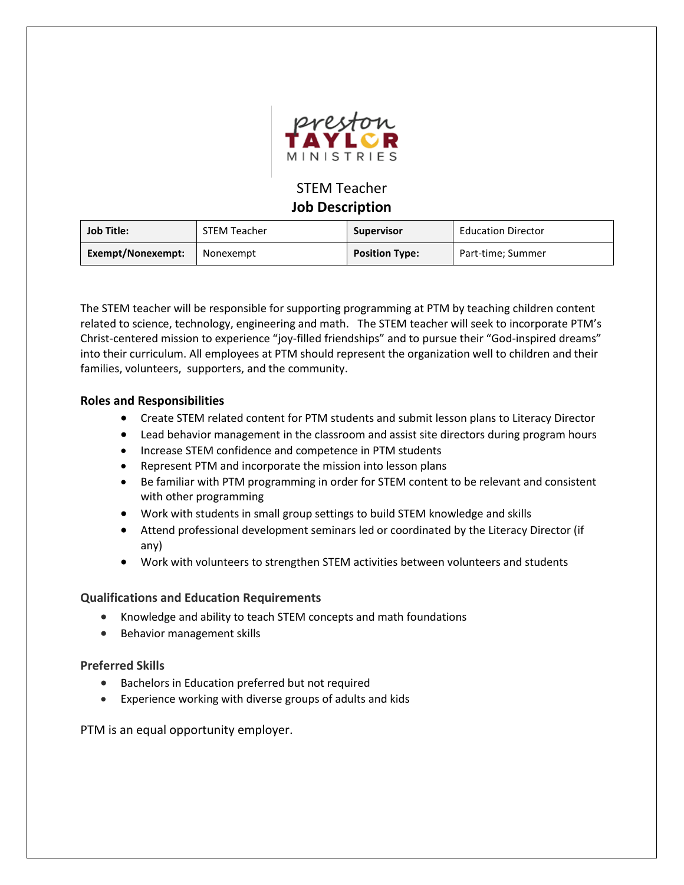

# STEM Teacher **Job Description**

| <b>Job Title:</b> | <b>STEM Teacher</b> | <b>Supervisor</b>     | <b>Education Director</b> |
|-------------------|---------------------|-----------------------|---------------------------|
| Exempt/Nonexempt: | Nonexempt           | <b>Position Type:</b> | Part-time; Summer         |

The STEM teacher will be responsible for supporting programming at PTM by teaching children content related to science, technology, engineering and math. The STEM teacher will seek to incorporate PTM's Christ-centered mission to experience "joy-filled friendships" and to pursue their "God-inspired dreams" into their curriculum. All employees at PTM should represent the organization well to children and their families, volunteers, supporters, and the community.

### **Roles and Responsibilities**

- Create STEM related content for PTM students and submit lesson plans to Literacy Director
- Lead behavior management in the classroom and assist site directors during program hours
- Increase STEM confidence and competence in PTM students
- Represent PTM and incorporate the mission into lesson plans
- Be familiar with PTM programming in order for STEM content to be relevant and consistent with other programming
- Work with students in small group settings to build STEM knowledge and skills
- Attend professional development seminars led or coordinated by the Literacy Director (if any)
- Work with volunteers to strengthen STEM activities between volunteers and students

#### **Qualifications and Education Requirements**

- Knowledge and ability to teach STEM concepts and math foundations
- Behavior management skills

#### **Preferred Skills**

- Bachelors in Education preferred but not required
- Experience working with diverse groups of adults and kids

PTM is an equal opportunity employer.